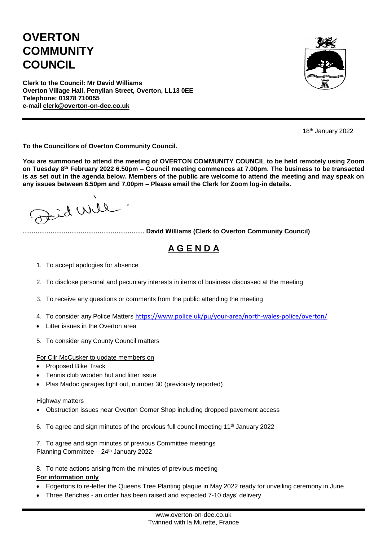## **OVERTON COMMUNITY COUNCIL**



**Clerk to the Council: Mr David Williams Overton Village Hall, Penyllan Street, Overton, LL13 0EE Telephone: 01978 710055 e-mail [clerk@overton-on-dee.co.uk](mailto:clerk@overton-on-dee.co.uk)**

18th January 2022

**To the Councillors of Overton Community Council.**

**You are summoned to attend the meeting of OVERTON COMMUNITY COUNCIL to be held remotely using Zoom on Tuesday 8th February 2022 6.50pm – Council meeting commences at 7.00pm. The business to be transacted is as set out in the agenda below. Members of the public are welcome to attend the meeting and may speak on any issues between 6.50pm and 7.00pm – Please email the Clerk for Zoom log-in details.**

Jeid Will

**………………………………………………… David Williams (Clerk to Overton Community Council)**

## **A G E N D A**

- 1. To accept apologies for absence
- 2. To disclose personal and pecuniary interests in items of business discussed at the meeting
- 3. To receive any questions or comments from the public attending the meeting
- 4. To consider any Police Matters <https://www.police.uk/pu/your-area/north-wales-police/overton/>
- Litter issues in the Overton area
- 5. To consider any County Council matters

For Cllr McCusker to update members on

- Proposed Bike Track
- Tennis club wooden hut and litter issue
- Plas Madoc garages light out, number 30 (previously reported)

## Highway matters

- Obstruction issues near Overton Corner Shop including dropped pavement access
- 6. To agree and sign minutes of the previous full council meeting 11th January 2022
- 7. To agree and sign minutes of previous Committee meetings Planning Committee - 24<sup>th</sup> January 2022
- 8. To note actions arising from the minutes of previous meeting

## **For information only**

- Edgertons to re-letter the Queens Tree Planting plaque in May 2022 ready for unveiling ceremony in June
- Three Benches an order has been raised and expected 7-10 days' delivery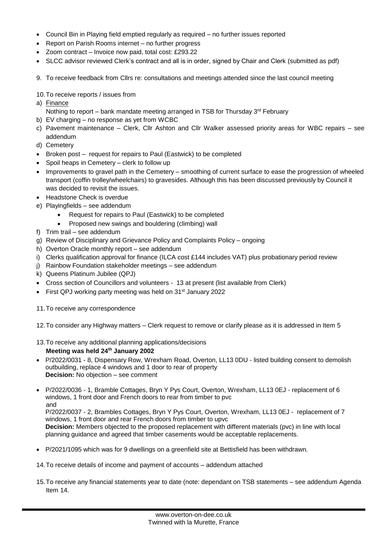- Council Bin in Playing field emptied regularly as required no further issues reported
- Report on Parish Rooms internet no further progress
- Zoom contract Invoice now paid, total cost: £293.22
- SLCC advisor reviewed Clerk's contract and all is in order, signed by Chair and Clerk (submitted as pdf)
- 9. To receive feedback from Cllrs re: consultations and meetings attended since the last council meeting
- 10.To receive reports / issues from
- a) Finance
	- Nothing to report bank mandate meeting arranged in TSB for Thursday 3<sup>rd</sup> February
- b) EV charging no response as yet from WCBC
- c) Pavement maintenance Clerk, Cllr Ashton and Cllr Walker assessed priority areas for WBC repairs see addendum
- d) Cemetery
- Broken post request for repairs to Paul (Eastwick) to be completed
- Spoil heaps in Cemetery clerk to follow up
- Improvements to gravel path in the Cemetery smoothing of current surface to ease the progression of wheeled transport (coffin trolley/wheelchairs) to gravesides. Although this has been discussed previously by Council it was decided to revisit the issues.
- Headstone Check is overdue
- e) Playingfields see addendum
	- Request for repairs to Paul (Eastwick) to be completed
	- Proposed new swings and bouldering (climbing) wall
- f) Trim trail see addendum
- g) Review of Disciplinary and Grievance Policy and Complaints Policy ongoing
- h) Overton Oracle monthly report see addendum
- i) Clerks qualification approval for finance (ILCA cost £144 includes VAT) plus probationary period review
- j) Rainbow Foundation stakeholder meetings see addendum
- k) Queens Platinum Jubilee (QPJ)
- Cross section of Councillors and volunteers 13 at present (list available from Clerk)
- First QPJ working party meeting was held on 31<sup>st</sup> January 2022
- 11.To receive any correspondence
- 12.To consider any Highway matters Clerk request to remove or clarify please as it is addressed in Item 5
- 13.To receive any additional planning applications/decisions
	- **Meeting was held 24th January 2002**
- P/2022/0031 8, Dispensary Row, Wrexham Road, Overton, LL13 0DU listed building consent to demolish outbuilding, replace 4 windows and 1 door to rear of property **Decision:** No objection – see comment
- P/2022/0036 1, Bramble Cottages, Bryn Y Pys Court, Overton, Wrexham, LL13 0EJ replacement of 6 windows, 1 front door and French doors to rear from timber to pvc and

P/2022/0037 - 2, Brambles Cottages, Bryn Y Pys Court, Overton, Wrexham, LL13 0EJ - replacement of 7 windows, 1 front door and rear French doors from timber to upvc **Decision:** Members objected to the proposed replacement with different materials (pvc) in line with local planning guidance and agreed that timber casements would be acceptable replacements.

- P/2021/1095 which was for 9 dwellings on a greenfield site at Bettisfield has been withdrawn.
- 14.To receive details of income and payment of accounts addendum attached
- 15.To receive any financial statements year to date (note: dependant on TSB statements see addendum Agenda Item 14.